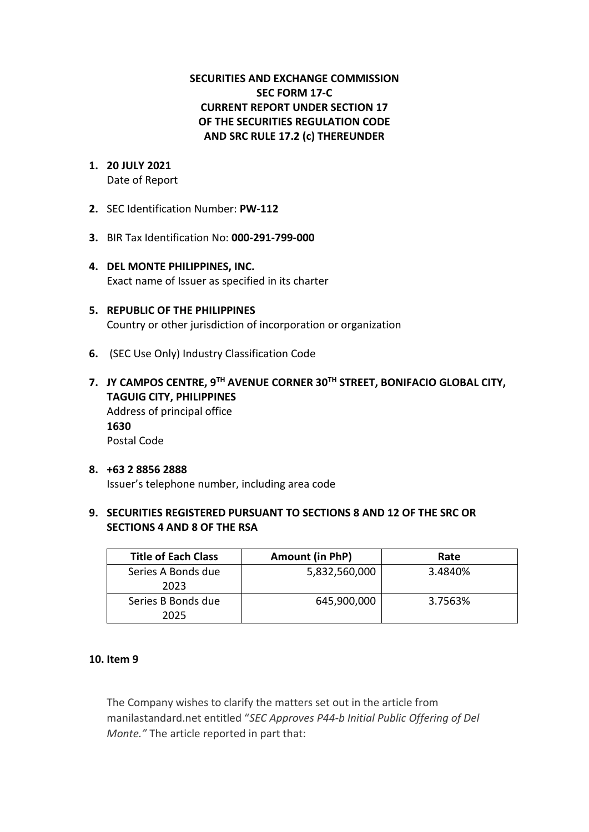## **SECURITIES AND EXCHANGE COMMISSION SEC FORM 17-C CURRENT REPORT UNDER SECTION 17 OF THE SECURITIES REGULATION CODE AND SRC RULE 17.2 (c) THEREUNDER**

- **1. 20 JULY 2021** Date of Report
- **2.** SEC Identification Number: **PW-112**
- **3.** BIR Tax Identification No: **000-291-799-000**
- **4. DEL MONTE PHILIPPINES, INC.**  Exact name of Issuer as specified in its charter
- **5. REPUBLIC OF THE PHILIPPINES** Country or other jurisdiction of incorporation or organization
- **6.** (SEC Use Only) Industry Classification Code
- **7. JY CAMPOS CENTRE, 9TH AVENUE CORNER 30TH STREET, BONIFACIO GLOBAL CITY, TAGUIG CITY, PHILIPPINES** Address of principal office **1630** Postal Code
- **8. +63 2 8856 2888** Issuer's telephone number, including area code
- **9. SECURITIES REGISTERED PURSUANT TO SECTIONS 8 AND 12 OF THE SRC OR SECTIONS 4 AND 8 OF THE RSA**

| <b>Title of Each Class</b> | Amount (in PhP) | Rate    |
|----------------------------|-----------------|---------|
| Series A Bonds due         | 5,832,560,000   | 3.4840% |
| 2023                       |                 |         |
| Series B Bonds due         | 645,900,000     | 3.7563% |
| 2025                       |                 |         |

## **10. Item 9**

The Company wishes to clarify the matters set out in the article from manilastandard.net entitled "*SEC Approves P44-b Initial Public Offering of Del Monte."* The article reported in part that: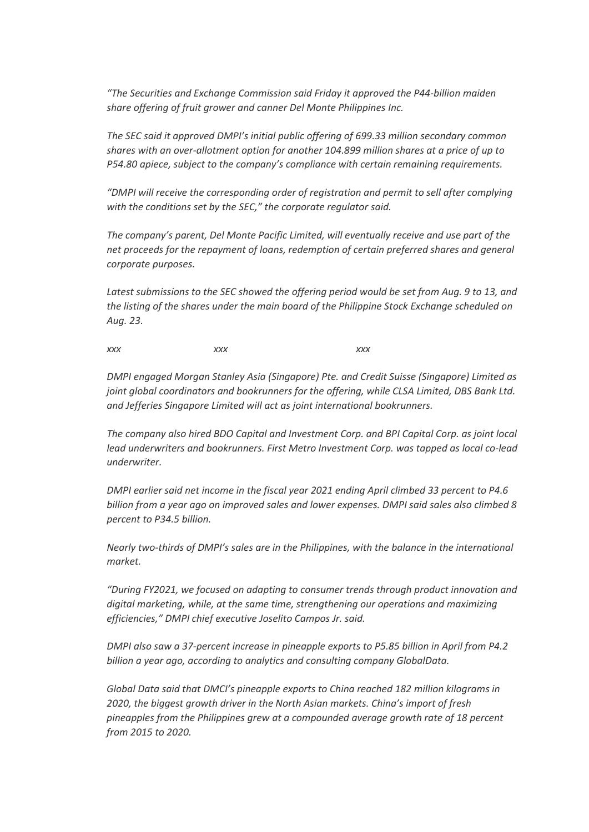*"The Securities and Exchange Commission said Friday it approved the P44-billion maiden share offering of fruit grower and canner Del Monte Philippines Inc.*

*The SEC said it approved DMPI's initial public offering of 699.33 million secondary common shares with an over-allotment option for another 104.899 million shares at a price of up to P54.80 apiece, subject to the company's compliance with certain remaining requirements.*

*"DMPI will receive the corresponding order of registration and permit to sell after complying with the conditions set by the SEC," the corporate regulator said.*

*The company's parent, Del Monte Pacific Limited, will eventually receive and use part of the net proceeds for the repayment of loans, redemption of certain preferred shares and general corporate purposes.*

Latest submissions to the SEC showed the offering period would be set from Aug. 9 to 13, and *the listing of the shares under the main board of the Philippine Stock Exchange scheduled on Aug. 23.*

*xxx xxx xxx*

*DMPI engaged Morgan Stanley Asia (Singapore) Pte. and Credit Suisse (Singapore) Limited as joint global coordinators and bookrunners for the offering, while CLSA Limited, DBS Bank Ltd. and Jefferies Singapore Limited will act as joint international bookrunners.*

*The company also hired BDO Capital and Investment Corp. and BPI Capital Corp. as joint local lead underwriters and bookrunners. First Metro Investment Corp. was tapped as local co-lead underwriter.*

*DMPI earlier said net income in the fiscal year 2021 ending April climbed 33 percent to P4.6 billion from a year ago on improved sales and lower expenses. DMPI said sales also climbed 8 percent to P34.5 billion.*

*Nearly two-thirds of DMPI's sales are in the Philippines, with the balance in the international market.*

*"During FY2021, we focused on adapting to consumer trends through product innovation and digital marketing, while, at the same time, strengthening our operations and maximizing efficiencies," DMPI chief executive Joselito Campos Jr. said.*

*DMPI also saw a 37-percent increase in pineapple exports to P5.85 billion in April from P4.2 billion a year ago, according to analytics and consulting company GlobalData.*

*Global Data said that DMCI's pineapple exports to China reached 182 million kilograms in 2020, the biggest growth driver in the North Asian markets. China's import of fresh pineapples from the Philippines grew at a compounded average growth rate of 18 percent from 2015 to 2020.*